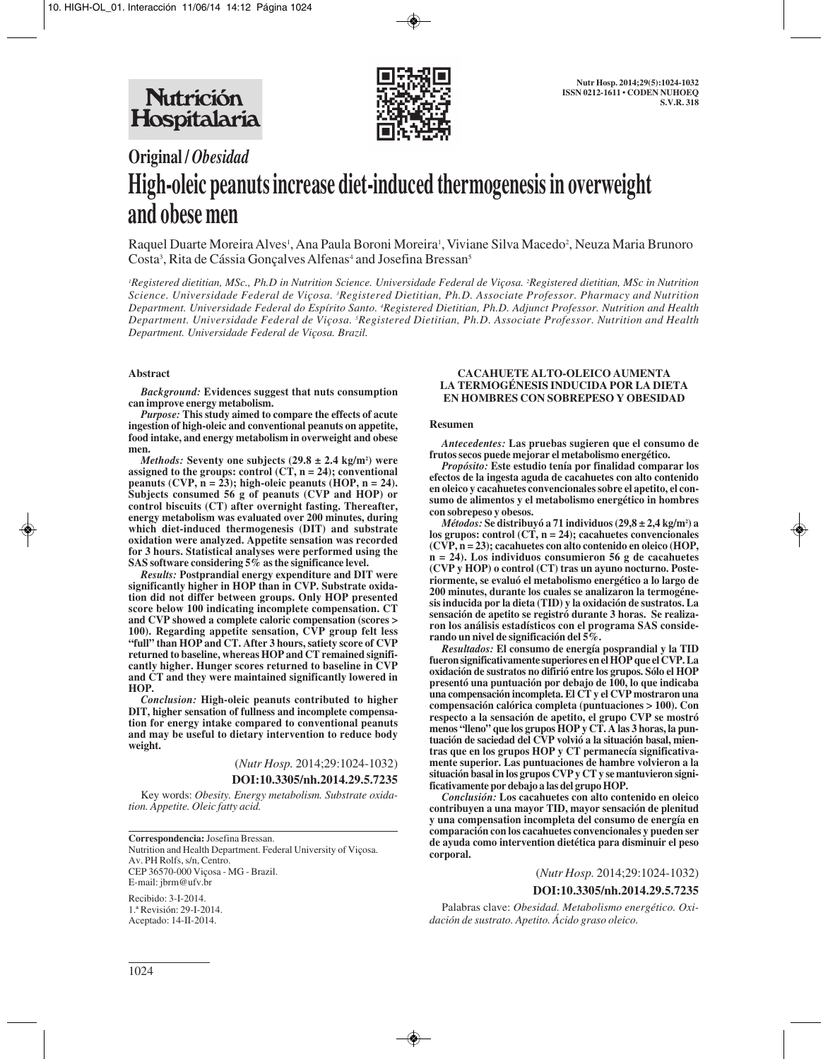

# **Original /** *Obesidad* **High-oleic peanuts increase diet-induced thermogenesis in overweight and obese men**

Raquel Duarte Moreira Alves', Ana Paula Boroni Moreira', Viviane Silva Macedo<sup>2</sup>, Neuza Maria Brunoro Costa<sup>3</sup>, Rita de Cássia Gonçalves Alfenas<sup>4</sup> and Josefina Bressan<sup>s</sup>

*1 Registered dietitian, MSc., Ph.D in Nutrition Science. Universidade Federal de Viçosa. 2 Registered dietitian, MSc in Nutrition Science. Universidade Federal de Viçosa. 3 Registered Dietitian, Ph.D. Associate Professor. Pharmacy and Nutrition Department. Universidade Federal do Espírito Santo. 4 Registered Dietitian, Ph.D. Adjunct Professor. Nutrition and Health Department. Universidade Federal de Viçosa. 5 Registered Dietitian, Ph.D. Associate Professor. Nutrition and Health Department. Universidade Federal de Viçosa. Brazil.* 

## **Abstract**

*Background:* **Evidences suggest that nuts consumption can improve energy metabolism.** 

*Purpose:* **This study aimed to compare the effects of acute ingestion of high-oleic and conventional peanuts on appetite, food intake, and energy metabolism in overweight and obese men.** 

*Methods:* **Seventy one subjects (29.8 ± 2.4 kg/m2 ) were assigned to the groups: control (CT, n = 24); conventional** peanuts (CVP,  $n = 23$ ); high-oleic peanuts (HOP,  $n = 24$ ). **Subjects consumed 56 g of peanuts (CVP and HOP) or control biscuits (CT) after overnight fasting. Thereafter, energy metabolism was evaluated over 200 minutes, during which diet-induced thermogenesis (DIT) and substrate oxidation were analyzed. Appetite sensation was recorded for 3 hours. Statistical analyses were performed using the SAS software considering 5% as the significance level.**

*Results:* **Postprandial energy expenditure and DIT were significantly higher in HOP than in CVP. Substrate oxidation did not differ between groups. Only HOP presented score below 100 indicating incomplete compensation. CT and CVP showed a complete caloric compensation (scores > 100). Regarding appetite sensation, CVP group felt less "full" than HOP and CT. After 3 hours, satiety score of CVP returned to baseline, whereas HOP and CT remained significantly higher. Hunger scores returned to baseline in CVP and CT and they were maintained significantly lowered in HOP.** 

*Conclusion:* **High-oleic peanuts contributed to higher DIT, higher sensation of fullness and incomplete compensation for energy intake compared to conventional peanuts and may be useful to dietary intervention to reduce body weight.**

(*Nutr Hosp.* 2014;29:1024-1032)

## **DOI:10.3305/nh.2014.29.5.7235**

Key words: *Obesity. Energy metabolism. Substrate oxidation. Appetite. Oleic fatty acid.*

**Correspondencia:** Josefina Bressan. Nutrition and Health Department. Federal University of Viçosa. Av. PH Rolfs, s/n, Centro. CEP 36570-000 Viçosa - MG - Brazil. E-mail: jbrm@ufv.br

Recibido: 3-I-2014. 1.ª Revisión: 29-I-2014. Aceptado: 14-II-2014.

## **CACAHUETE ALTO-OLEICO AUMENTA LA TERMOGÉNESIS INDUCIDA POR LA DIETA EN HOMBRES CON SOBREPESO Y OBESIDAD**

### **Resumen**

*Antecedentes:* **Las pruebas sugieren que el consumo de frutos secos puede mejorar el metabolismo energético.**

*Propósito:* **Este estudio tenía por finalidad comparar los efectos de la ingesta aguda de cacahuetes con alto contenido en oleico y cacahuetes convencionales sobre el apetito, el consumo de alimentos y el metabolismo energético in hombres con sobrepeso y obesos.** 

*Métodos:* **Se distribuyó a 71 individuos (29,8 ± 2,4 kg/m2 ) a los grupos: control (CT, n = 24); cacahuetes convencionales (CVP, n = 23); cacahuetes con alto contenido en oleico (HOP, n = 24). Los individuos consumieron 56 g de cacahuetes (CVP y HOP) o control (CT) tras un ayuno nocturno. Posteriormente, se evaluó el metabolismo energético a lo largo de 200 minutes, durante los cuales se analizaron la termogénesis inducida por la dieta (TID) y la oxidación de sustratos. La sensación de apetito se registró durante 3 horas. Se realizaron los análisis estadísticos con el programa SAS considerando un nivel de significación del 5%.**

*Resultados:* **El consumo de energía posprandial y la TID fueron significativamente superiores en el HOP que el CVP. La oxidación de sustratos no difirió entre los grupos. Sólo el HOP presentó una puntuación por debajo de 100, lo que indicaba una compensación incompleta. El CT y el CVP mostraron una compensación calórica completa (puntuaciones > 100). Con respecto a la sensación de apetito, el grupo CVP se mostró menos "lleno" que los grupos HOP y CT. A las 3 horas, la puntuación de saciedad del CVP volvió a la situación basal, mientras que en los grupos HOP y CT permanecía significativamente superior. Las puntuaciones de hambre volvieron a la situación basal in los grupos CVP y CT y se mantuvieron significativamente por debajo a las del grupo HOP.** 

*Conclusión:* **Los cacahuetes con alto contenido en oleico contribuyen a una mayor TID, mayor sensación de plenitud y una compensation incompleta del consumo de energía en comparación con los cacahuetes convencionales y pueden ser de ayuda como intervention dietética para disminuir el peso corporal.**

(*Nutr Hosp.* 2014;29:1024-1032)

#### **DOI:10.3305/nh.2014.29.5.7235**

Palabras clave: *Obesidad. Metabolismo energético. Oxidación de sustrato. Apetito. Ácido graso oleico.*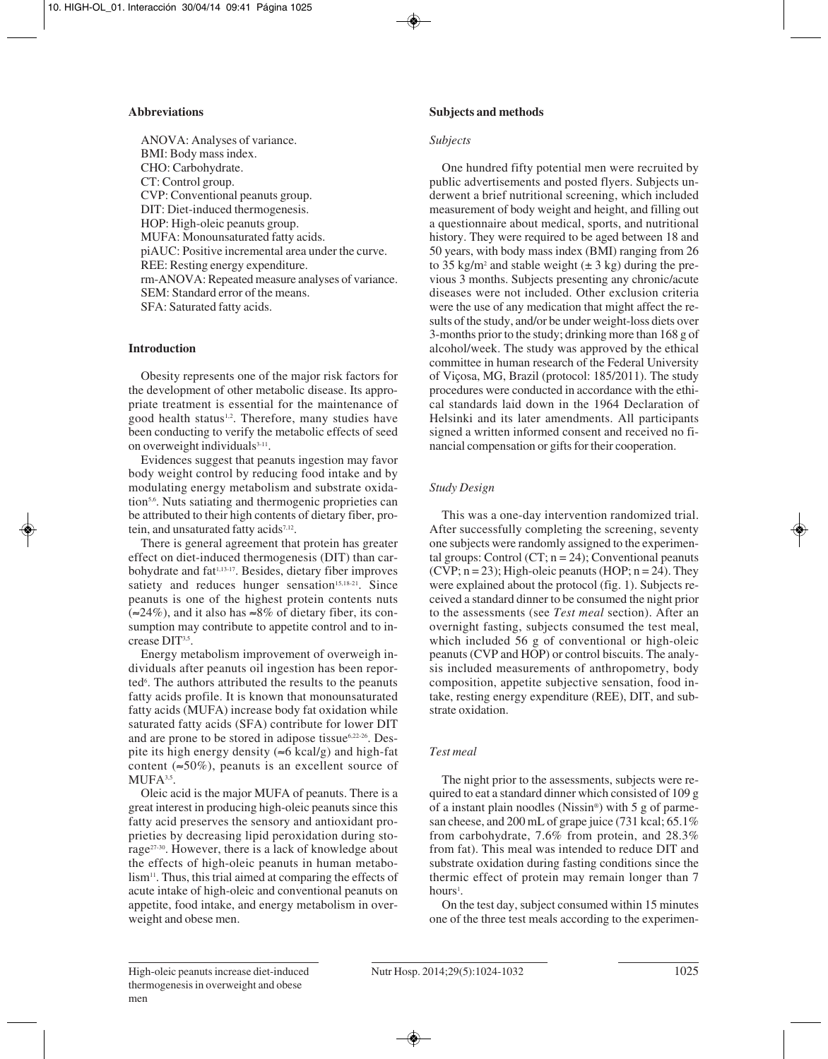# **Abbreviations**

ANOVA: Analyses of variance. BMI: Body mass index. CHO: Carbohydrate. CT: Control group. CVP: Conventional peanuts group. DIT: Diet-induced thermogenesis. HOP: High-oleic peanuts group. MUFA: Monounsaturated fatty acids. piAUC: Positive incremental area under the curve. REE: Resting energy expenditure. rm-ANOVA: Repeated measure analyses of variance. SEM: Standard error of the means. SFA: Saturated fatty acids.

# **Introduction**

Obesity represents one of the major risk factors for the development of other metabolic disease. Its appropriate treatment is essential for the maintenance of good health status<sup>1,2</sup>. Therefore, many studies have been conducting to verify the metabolic effects of seed on overweight individuals $3-11$ .

Evidences suggest that peanuts ingestion may favor body weight control by reducing food intake and by modulating energy metabolism and substrate oxidation<sup>5,6</sup>. Nuts satiating and thermogenic proprieties can be attributed to their high contents of dietary fiber, protein, and unsaturated fatty acids<sup>7,12</sup>.

There is general agreement that protein has greater effect on diet-induced thermogenesis (DIT) than carbohydrate and fat<sup>1,13-17</sup>. Besides, dietary fiber improves satiety and reduces hunger sensation $15,18-21$ . Since peanuts is one of the highest protein contents nuts (≈24%), and it also has ≈8% of dietary fiber, its consumption may contribute to appetite control and to increase DIT<sup>3,5</sup>.

Energy metabolism improvement of overweigh individuals after peanuts oil ingestion has been reported<sup>6</sup>. The authors attributed the results to the peanuts fatty acids profile. It is known that monounsaturated fatty acids (MUFA) increase body fat oxidation while saturated fatty acids (SFA) contribute for lower DIT and are prone to be stored in adipose tissue<sup>6,22-26</sup>. Despite its high energy density ( $\approx$ 6 kcal/g) and high-fat content ( $\approx 50\%$ ), peanuts is an excellent source of  $MUFA<sup>3,5</sup>$ .

Oleic acid is the major MUFA of peanuts. There is a great interest in producing high-oleic peanuts since this fatty acid preserves the sensory and antioxidant proprieties by decreasing lipid peroxidation during storage27-30. However, there is a lack of knowledge about the effects of high-oleic peanuts in human metabolism<sup>11</sup>. Thus, this trial aimed at comparing the effects of acute intake of high-oleic and conventional peanuts on appetite, food intake, and energy metabolism in overweight and obese men.

# **Subjects and methods**

# *Subjects*

One hundred fifty potential men were recruited by public advertisements and posted flyers. Subjects underwent a brief nutritional screening, which included measurement of body weight and height, and filling out a questionnaire about medical, sports, and nutritional history. They were required to be aged between 18 and 50 years, with body mass index (BMI) ranging from 26 to 35 kg/m<sup>2</sup> and stable weight  $(\pm 3 \text{ kg})$  during the previous 3 months. Subjects presenting any chronic/acute diseases were not included. Other exclusion criteria were the use of any medication that might affect the results of the study, and/or be under weight-loss diets over 3-months prior to the study; drinking more than 168 g of alcohol/week. The study was approved by the ethical committee in human research of the Federal University of Viçosa, MG, Brazil (protocol: 185/2011). The study procedures were conducted in accordance with the ethical standards laid down in the 1964 Declaration of Helsinki and its later amendments. All participants signed a written informed consent and received no financial compensation or gifts for their cooperation.

# *Study Design*

This was a one-day intervention randomized trial. After successfully completing the screening, seventy one subjects were randomly assigned to the experimental groups: Control (CT;  $n = 24$ ); Conventional peanuts (CVP;  $n = 23$ ); High-oleic peanuts (HOP;  $n = 24$ ). They were explained about the protocol (fig. 1). Subjects received a standard dinner to be consumed the night prior to the assessments (see *Test meal* section). After an overnight fasting, subjects consumed the test meal, which included 56 g of conventional or high-oleic peanuts (CVP and HOP) or control biscuits. The analysis included measurements of anthropometry, body composition, appetite subjective sensation, food intake, resting energy expenditure (REE), DIT, and substrate oxidation.

# *Test meal*

The night prior to the assessments, subjects were required to eat a standard dinner which consisted of 109 g of a instant plain noodles (Nissin®) with 5 g of parmesan cheese, and 200 mL of grape juice (731 kcal; 65.1% from carbohydrate, 7.6% from protein, and 28.3% from fat). This meal was intended to reduce DIT and substrate oxidation during fasting conditions since the thermic effect of protein may remain longer than 7 hours<sup>1</sup>.

On the test day, subject consumed within 15 minutes one of the three test meals according to the experimen-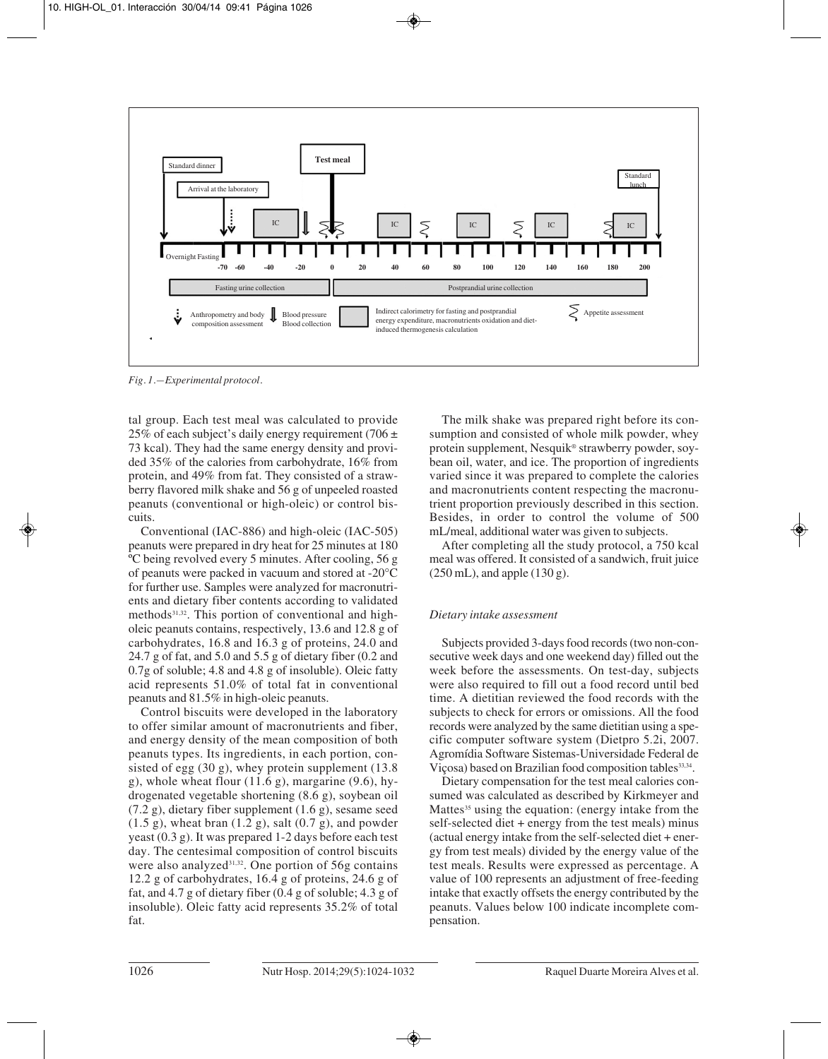

*Fig. 1.—Experimental protocol.*

tal group. Each test meal was calculated to provide 25% of each subject's daily energy requirement (706  $\pm$ 73 kcal). They had the same energy density and provi ded 35% of the calories from carbohydrate, 16% from protein, and 49% from fat. They consisted of a strawberry flavored milk shake and 56 g of unpeeled roasted peanuts (conventional or high-oleic) or control biscuits.

Conventional (IAC-886) and high-oleic (IAC-505) peanuts were prepared in dry heat for 25 minutes at 180 ºC being revolved every 5 minutes. After cooling, 56 g of peanuts were packed in vacuum and stored at -20°C for further use. Samples were analyzed for macronutrients and dietary fiber contents according to validated methods31,32. This portion of conventional and high oleic peanuts contains, respectively, 13.6 and 12.8 g of carbohydrates, 16.8 and 16.3 g of proteins, 24.0 and 24.7 g of fat, and 5.0 and 5.5 g of dietary fiber (0.2 and 0.7g of soluble; 4.8 and 4.8 g of insoluble). Oleic fatty acid represents 51.0% of total fat in conventional peanuts and 81.5% in high-oleic peanuts.

Control biscuits were developed in the laboratory to offer similar amount of macronutrients and fiber, and energy density of the mean composition of both peanuts types. Its ingredients, in each portion, consisted of egg (30 g), whey protein supplement (13.8 g), whole wheat flour  $(11.6 \text{ g})$ , margarine  $(9.6)$ , hydrogenated vegetable shortening (8.6 g), soybean oil (7.2 g), dietary fiber supplement (1.6 g), sesame seed  $(1.5 \text{ g})$ , wheat bran  $(1.2 \text{ g})$ , salt  $(0.7 \text{ g})$ , and powder yeast (0.3 g). It was prepared 1-2 days before each test day. The centesimal composition of control biscuits were also analyzed<sup>31,32</sup>. One portion of 56g contains 12.2 g of carbohydrates, 16.4 g of proteins, 24.6 g of fat, and 4.7 g of dietary fiber (0.4 g of soluble; 4.3 g of insoluble). Oleic fatty acid represents 35.2% of total fat.

The milk shake was prepared right before its consumption and consisted of whole milk powder, whey protein supplement, Nesquik® strawberry powder, soybean oil, water, and ice. The proportion of ingredients varied since it was prepared to complete the calories and macronutrients content respecting the macronu trient proportion previously described in this section. Besides, in order to control the volume of 500 mL/meal, additional water was given to subjects.

After completing all the study protocol, a 750 kcal meal was offered. It consisted of a sandwich, fruit juice  $(250 \text{ mL})$ , and apple  $(130 \text{ g})$ .

# *Dietary intake assessment*

Subjects provided 3-days food records (two non-consecutive week days and one weekend day) filled out the week before the assessments. On test-day, subjects were also required to fill out a food record until bed time. A dietitian reviewed the food records with the subjects to check for errors or omissions. All the food records were analyzed by the same dietitian using a specific computer software system (Dietpro 5.2i, 2007. Agromídia Software Sistemas-Universidade Federal de Viçosa) based on Brazilian food composition tables<sup>33,34</sup>.

Dietary compensation for the test meal calories consumed was calculated as described by Kirkmeyer and Mattes<sup>35</sup> using the equation: (energy intake from the self-selected diet + energy from the test meals) minus (actual energy intake from the self-selected diet + energy from test meals) divided by the energy value of the test meals. Results were expressed as percentage. A value of 100 represents an adjustment of free-feeding intake that exactly offsets the energy contributed by the peanuts. Values below 100 indicate incomplete compensation.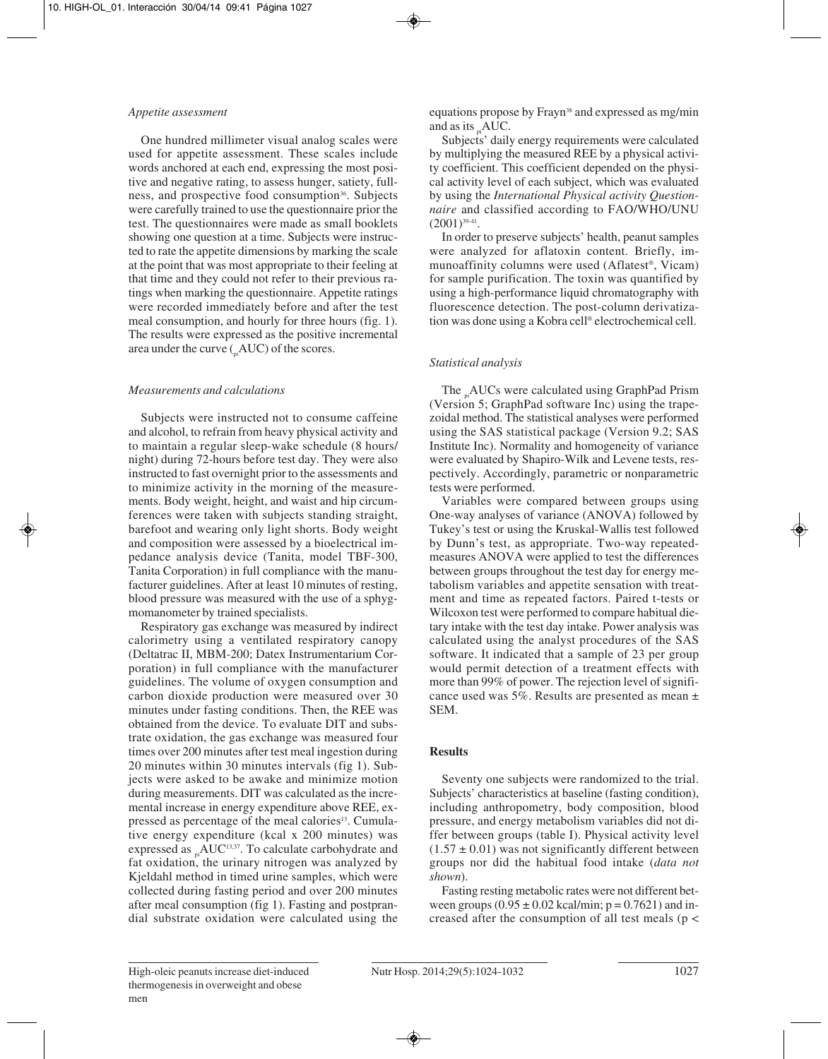## *Appetite assessment*

One hundred millimeter visual analog scales were used for appetite assessment. These scales include words anchored at each end, expressing the most positive and negative rating, to assess hunger, satiety, fullness, and prospective food consumption<sup>36</sup>. Subjects were carefully trained to use the questionnaire prior the test. The questionnaires were made as small booklets showing one question at a time. Subjects were instructed to rate the appetite dimensions by marking the scale at the point that was most appropriate to their feeling at that time and they could not refer to their previous ratings when marking the questionnaire. Appetite ratings were recorded immediately before and after the test meal consumption, and hourly for three hours (fig. 1). The results were expressed as the positive incremental area under the curve  $(\Delta U)$  of the scores.

# *Measurements and calculations*

Subjects were instructed not to consume caffeine and alcohol, to refrain from heavy physical activity and to maintain a regular sleep-wake schedule (8 hours/ night) during 72-hours before test day. They were also instructed to fast overnight prior to the assessments and to minimize activity in the morning of the measurements. Body weight, height, and waist and hip circumferences were taken with subjects standing straight, barefoot and wearing only light shorts. Body weight and composition were assessed by a bioelectrical impedance analysis device (Tanita, model TBF-300, Tanita Corporation) in full compliance with the manufacturer guidelines. After at least 10 minutes of resting, blood pressure was measured with the use of a sphygmomanometer by trained specialists.

Respiratory gas exchange was measured by indirect calorimetry using a ventilated respiratory canopy (Deltatrac II, MBM-200; Datex Instrumentarium Corporation) in full compliance with the manufacturer guidelines. The volume of oxygen consumption and carbon dioxide production were measured over 30 minutes under fasting conditions. Then, the REE was obtained from the device. To evaluate DIT and subs trate oxidation, the gas exchange was measured four times over 200 minutes after test meal ingestion during 20 minutes within 30 minutes intervals (fig 1). Subjects were asked to be awake and minimize motion during measurements. DIT was calculated as the incremental increase in energy expenditure above REE, expressed as percentage of the meal calories<sup>13</sup>. Cumulative energy expenditure (kcal x 200 minutes) was expressed as  $_{\alpha}$ AUC<sup>13,37</sup>. To calculate carbohydrate and fat oxidation, the urinary nitrogen was analyzed by Kjeldahl method in timed urine samples, which were collected during fasting period and over 200 minutes after meal consumption (fig 1). Fasting and postprandial substrate oxidation were calculated using the

equations propose by Frayn<sup>38</sup> and expressed as mg/min and as its  $_{\rm ni}$ AUC.

Subjects' daily energy requirements were calculated by multiplying the measured REE by a physical activity coefficient. This coefficient depended on the physical activity level of each subject, which was evaluated by using the *International Physical activity Questionnaire* and classified according to FAO/WHO/UNU  $(2001)^{39-41}$ .

In order to preserve subjects' health, peanut samples were analyzed for aflatoxin content. Briefly, immunoaffinity columns were used (Aflatest®, Vicam) for sample purification. The toxin was quantified by using a high-performance liquid chromatography with fluorescence detection. The post-column derivatization was done using a Kobra cell® electrochemical cell.

# *Statistical analysis*

The <sub>n</sub>AUCs were calculated using GraphPad Prism (Version 5; GraphPad software Inc) using the trapezoidal method. The statistical analyses were performed using the SAS statistical package (Version 9.2; SAS Institute Inc). Normality and homogeneity of variance were evaluated by Shapiro-Wilk and Levene tests, respectively. Accordingly, parametric or nonparametric tests were performed.

Variables were compared between groups using One-way analyses of variance (ANOVA) followed by Tukey's test or using the Kruskal-Wallis test followed by Dunn's test, as appropriate. Two-way repeatedmeasures ANOVA were applied to test the differences between groups throughout the test day for energy metabolism variables and appetite sensation with treatment and time as repeated factors. Paired t-tests or Wilcoxon test were performed to compare habitual die tary intake with the test day intake. Power analysis was calculated using the analyst procedures of the SAS software. It indicated that a sample of 23 per group would permit detection of a treatment effects with more than 99% of power. The rejection level of significance used was 5%. Results are presented as mean ± SEM.

# **Results**

Seventy one subjects were randomized to the trial. Subjects' characteristics at baseline (fasting condition), including anthropometry, body composition, blood pressure, and energy metabolism variables did not differ between groups (table I). Physical activity level  $(1.57 \pm 0.01)$  was not significantly different between groups nor did the habitual food intake (*data not shown*).

Fasting resting metabolic rates were not different bet ween groups  $(0.95 \pm 0.02 \text{ kcal/min}; p = 0.7621)$  and increased after the consumption of all test meals (p <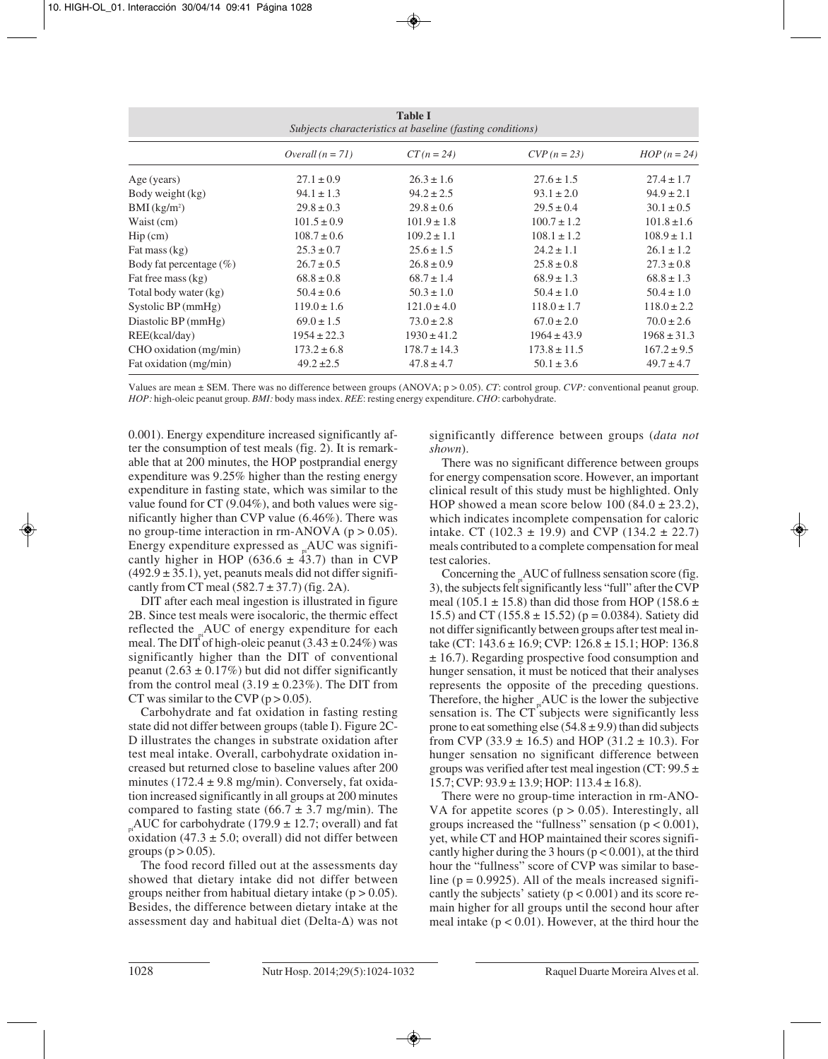| <b>Table I</b><br>Subjects characteristics at baseline (fasting conditions) |                    |                  |                  |                 |
|-----------------------------------------------------------------------------|--------------------|------------------|------------------|-----------------|
|                                                                             | Overall $(n = 71)$ | $CT(n = 24)$     | $CVP (n = 23)$   | $HOP(n=24)$     |
| Age (years)                                                                 | $27.1 \pm 0.9$     | $26.3 \pm 1.6$   | $27.6 \pm 1.5$   | $27.4 \pm 1.7$  |
| Body weight (kg)                                                            | $94.1 \pm 1.3$     | $94.2 \pm 2.5$   | $93.1 \pm 2.0$   | $94.9 \pm 2.1$  |
| $BMI$ (kg/m <sup>2</sup> )                                                  | $29.8 \pm 0.3$     | $29.8 \pm 0.6$   | $29.5 \pm 0.4$   | $30.1 \pm 0.5$  |
| Waist (cm)                                                                  | $101.5 \pm 0.9$    | $101.9 \pm 1.8$  | $100.7 \pm 1.2$  | $101.8 \pm 1.6$ |
| $\text{Hip}\left(\text{cm}\right)$                                          | $108.7 \pm 0.6$    | $109.2 \pm 1.1$  | $108.1 \pm 1.2$  | $108.9 \pm 1.1$ |
| Fat mass (kg)                                                               | $25.3 \pm 0.7$     | $25.6 \pm 1.5$   | $24.2 \pm 1.1$   | $26.1 \pm 1.2$  |
| Body fat percentage $(\%)$                                                  | $26.7 \pm 0.5$     | $26.8 \pm 0.9$   | $25.8 \pm 0.8$   | $27.3 \pm 0.8$  |
| Fat free mass (kg)                                                          | $68.8 \pm 0.8$     | $68.7 \pm 1.4$   | $68.9 \pm 1.3$   | $68.8 \pm 1.3$  |
| Total body water (kg)                                                       | $50.4 \pm 0.6$     | $50.3 \pm 1.0$   | $50.4 \pm 1.0$   | $50.4 \pm 1.0$  |
| Systolic $BP$ (mmHg)                                                        | $119.0 \pm 1.6$    | $121.0 \pm 4.0$  | $118.0 \pm 1.7$  | $118.0 \pm 2.2$ |
| Diastolic BP (mmHg)                                                         | $69.0 \pm 1.5$     | $73.0 \pm 2.8$   | $67.0 \pm 2.0$   | $70.0 \pm 2.6$  |
| REE(kcal/day)                                                               | $1954 \pm 22.3$    | $1930 \pm 41.2$  | $1964 \pm 43.9$  | $1968 \pm 31.3$ |
| CHO oxidation (mg/min)                                                      | $173.2 \pm 6.8$    | $178.7 \pm 14.3$ | $173.8 \pm 11.5$ | $167.2 \pm 9.5$ |
| Fat oxidation (mg/min)                                                      | $49.2 \pm 2.5$     | $47.8 \pm 4.7$   | $50.1 \pm 3.6$   | $49.7 \pm 4.7$  |

Values are mean ± SEM. There was no difference between groups (ANOVA; p > 0.05). *CT*: control group. *CVP:* conventional peanut group. *HOP:* high-oleic peanut group. *BMI:* body mass index. *REE*: resting energy expenditure. *CHO*: carbohydrate.

0.001). Energy expenditure increased significantly after the consumption of test meals (fig. 2). It is remarkable that at 200 minutes, the HOP postprandial energy expenditure was 9.25% higher than the resting energy expenditure in fasting state, which was similar to the value found for CT (9.04%), and both values were significantly higher than CVP value (6.46%). There was no group-time interaction in rm-ANOVA ( $p > 0.05$ ). Energy expenditure expressed as  $_{n}$ AUC was significantly higher in HOP (636.6  $\pm$  43.7) than in CVP  $(492.9 \pm 35.1)$ , yet, peanuts meals did not differ significantly from CT meal  $(582.7 \pm 37.7)$  (fig. 2A).

DIT after each meal ingestion is illustrated in figure 2B. Since test meals were isocaloric, the thermic effect reflected the AUC of energy expenditure for each meal. The DIT of high-oleic peanut  $(3.43 \pm 0.24\%)$  was significantly higher than the DIT of conventional peanut (2.63  $\pm$  0.17%) but did not differ significantly from the control meal  $(3.19 \pm 0.23\%)$ . The DIT from CT was similar to the CVP ( $p > 0.05$ ).

Carbohydrate and fat oxidation in fasting resting state did not differ between groups (table I). Figure 2C-D illustrates the changes in substrate oxidation after test meal intake. Overall, carbohydrate oxidation increased but returned close to baseline values after 200 minutes (172.4  $\pm$  9.8 mg/min). Conversely, fat oxidation increased significantly in all groups at 200 minutes compared to fasting state (66.7  $\pm$  3.7 mg/min). The  $_{pi}$ AUC for carbohydrate (179.9  $\pm$  12.7; overall) and fat oxidation  $(47.3 \pm 5.0)$ ; overall) did not differ between groups ( $p > 0.05$ ).

The food record filled out at the assessments day showed that dietary intake did not differ between groups neither from habitual dietary intake  $(p > 0.05)$ . Besides, the difference between dietary intake at the assessment day and habitual diet (Delta-Δ) was not significantly difference between groups (*data not shown*).

There was no significant difference between groups for energy compensation score. However, an important clinical result of this study must be highlighted. Only HOP showed a mean score below  $100 (84.0 \pm 23.2)$ , which indicates incomplete compensation for caloric intake. CT (102.3  $\pm$  19.9) and CVP (134.2  $\pm$  22.7) meals contributed to a complete compensation for meal test calories.

Concerning the \_AUC of fullness sensation score (fig. 3), the subjects felt significantly less "full" after the CVP meal (105.1  $\pm$  15.8) than did those from HOP (158.6  $\pm$ 15.5) and CT (155.8  $\pm$  15.52) (p = 0.0384). Satiety did not differ significantly between groups after test meal intake (CT:  $143.6 \pm 16.9$ ; CVP:  $126.8 \pm 15.1$ ; HOP: 136.8 ± 16.7). Regarding prospective food consumption and hunger sensation, it must be noticed that their analyses represents the opposite of the preceding questions. Therefore, the higher  $\Delta$ UC is the lower the subjective sensation is. The CT subjects were significantly less prone to eat something else  $(54.8 \pm 9.9)$  than did subjects from CVP (33.9  $\pm$  16.5) and HOP (31.2  $\pm$  10.3). For hunger sensation no significant difference between groups was verified after test meal ingestion (CT:  $99.5 \pm$  $15.7$ ; CVP:  $93.9 \pm 13.9$ ; HOP:  $113.4 \pm 16.8$ ).

There were no group-time interaction in rm-ANO-VA for appetite scores  $(p > 0.05)$ . Interestingly, all groups increased the "fullness" sensation  $(p < 0.001)$ , yet, while CT and HOP maintained their scores significantly higher during the 3 hours ( $p < 0.001$ ), at the third hour the "fullness" score of CVP was similar to baseline ( $p = 0.9925$ ). All of the meals increased significantly the subjects' satiety  $(p < 0.001)$  and its score remain higher for all groups until the second hour after meal intake  $(p < 0.01)$ . However, at the third hour the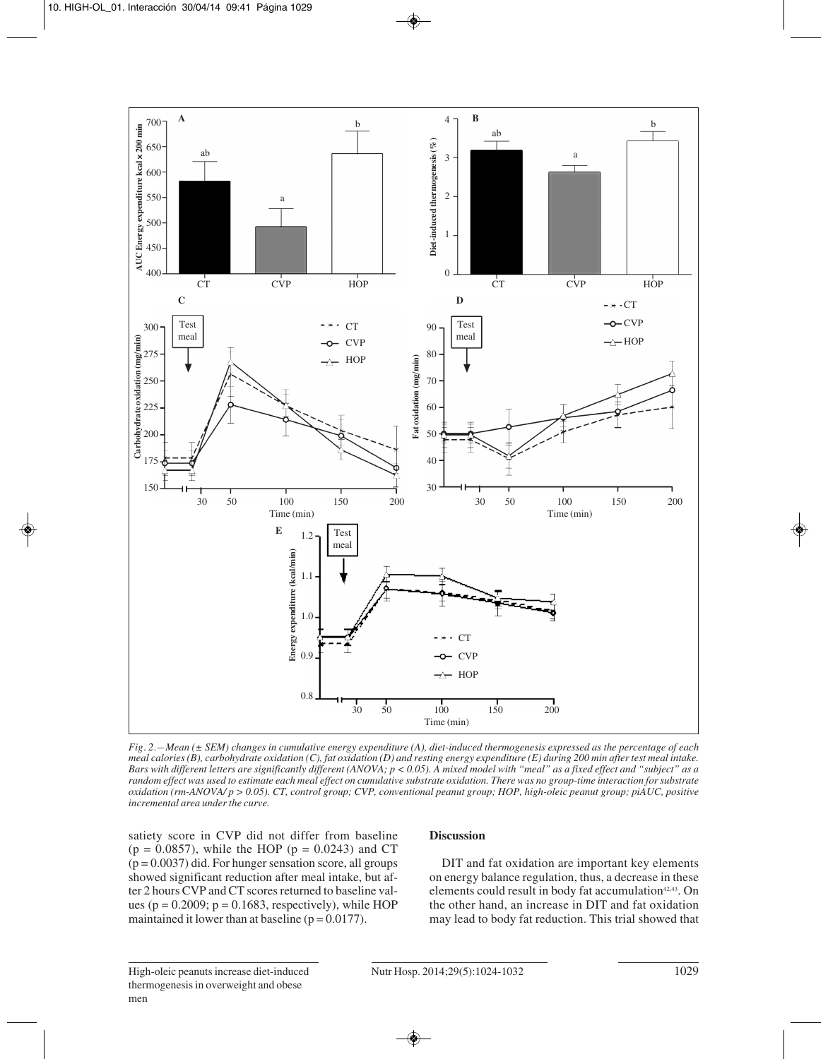

*Fig. 2.—Mean (± SEM) changes in cumulative energy expenditure (A), diet-induced thermogenesis expressed as the percentage of each meal calories (B), carbohydrate oxidation (C), fat oxidation (D) and resting energy expenditure (E) during 200 min after test meal intake. Bars with different letters are significantly different (ANOVA; p < 0.05). A mixed model with "meal" as a fixed effect and "subject" as a random effect was used to estimate each meal effect on cumulative substrate oxidation. There was no group-time interaction for substrate oxidation (rm-ANOVA/ p > 0.05). CT, control group; CVP, conventional peanut group; HOP, high-oleic peanut group; piAUC, positive incremental area under the curve.*

satiety score in CVP did not differ from baseline  $(p = 0.0857)$ , while the HOP  $(p = 0.0243)$  and CT  $(p = 0.0037)$  did. For hunger sensation score, all groups showed significant reduction after meal intake, but after 2 hours CVP and CT scores returned to baseline values ( $p = 0.2009$ ;  $p = 0.1683$ , respectively), while HOP maintained it lower than at baseline  $(p = 0.0177)$ .

## **Discussion**

DIT and fat oxidation are important key elements on energy balance regulation, thus, a decrease in these elements could result in body fat accumulation<sup>42,43</sup>. On the other hand, an increase in DIT and fat oxidation may lead to body fat reduction. This trial showed that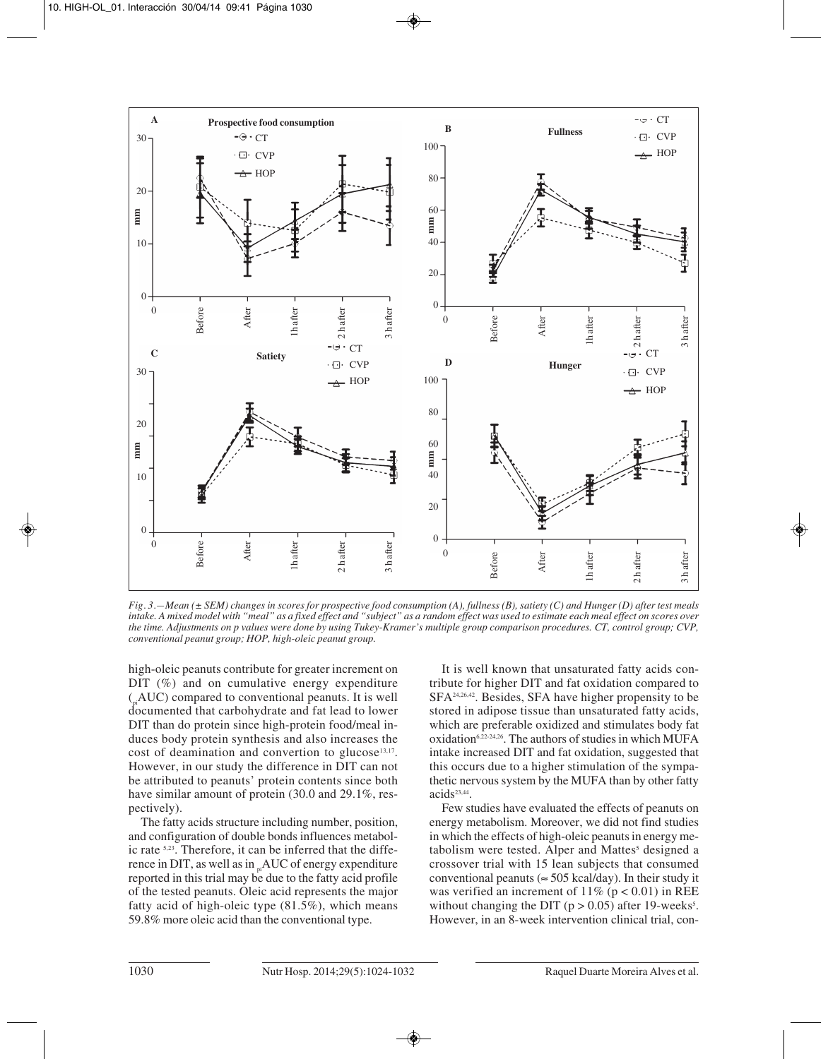

*Fig. 3.—Mean (± SEM) changes in scores for prospective food consumption (A), fullness (B), satiety (C) and Hunger (D) after test meals intake. A mixed model with "meal" as a fixed effect and "subject" as a random effect was used to estimate each meal effect on scores over the time. Adjustments on p values were done by using Tukey-Kramer's multiple group comparison procedures. CT, control group; CVP, conventional peanut group; HOP, high-oleic peanut group.*

high-oleic peanuts contribute for greater increment on DIT  $(\%)$  and on cumulative energy expenditure  $(AUC)$  compared to conventional peanuts. It is well documented that carbohydrate and fat lead to lower DIT than do protein since high-protein food/meal induces body protein synthesis and also increases the cost of deamination and convertion to glucose<sup>13,17</sup>. However, in our study the difference in DIT can not be attributed to peanuts' protein contents since both have similar amount of protein (30.0 and 29.1%, respectively).

The fatty acids structure including number, position, and configuration of double bonds influences metabolic rate <sup>5,23</sup>. Therefore, it can be inferred that the difference in DIT, as well as in  $n<sub>p</sub>AUC$  of energy expenditure reported in this trial may be due to the fatty acid profile of the tested peanuts. Oleic acid represents the major fatty acid of high-oleic type (81.5%), which means 59.8% more oleic acid than the conventional type.

It is well known that unsaturated fatty acids contribute for higher DIT and fat oxidation compared to SFA24,26,42. Besides, SFA have higher propensity to be stored in adipose tissue than unsaturated fatty acids, which are preferable oxidized and stimulates body fat oxidation<sup>6,22-24,26</sup>. The authors of studies in which MUFA intake increased DIT and fat oxidation, suggested that this occurs due to a higher stimulation of the sympathetic nervous system by the MUFA than by other fatty acids<sup>23,44</sup>.

Few studies have evaluated the effects of peanuts on energy metabolism. Moreover, we did not find studies in which the effects of high-oleic peanuts in energy metabolism were tested. Alper and Mattes<sup>5</sup> designed a crossover trial with 15 lean subjects that consumed conventional peanuts ( $\approx$  505 kcal/day). In their study it was verified an increment of  $11\%$  (p < 0.01) in REE without changing the DIT ( $p > 0.05$ ) after 19-weeks<sup>5</sup>. However, in an 8-week intervention clinical trial, con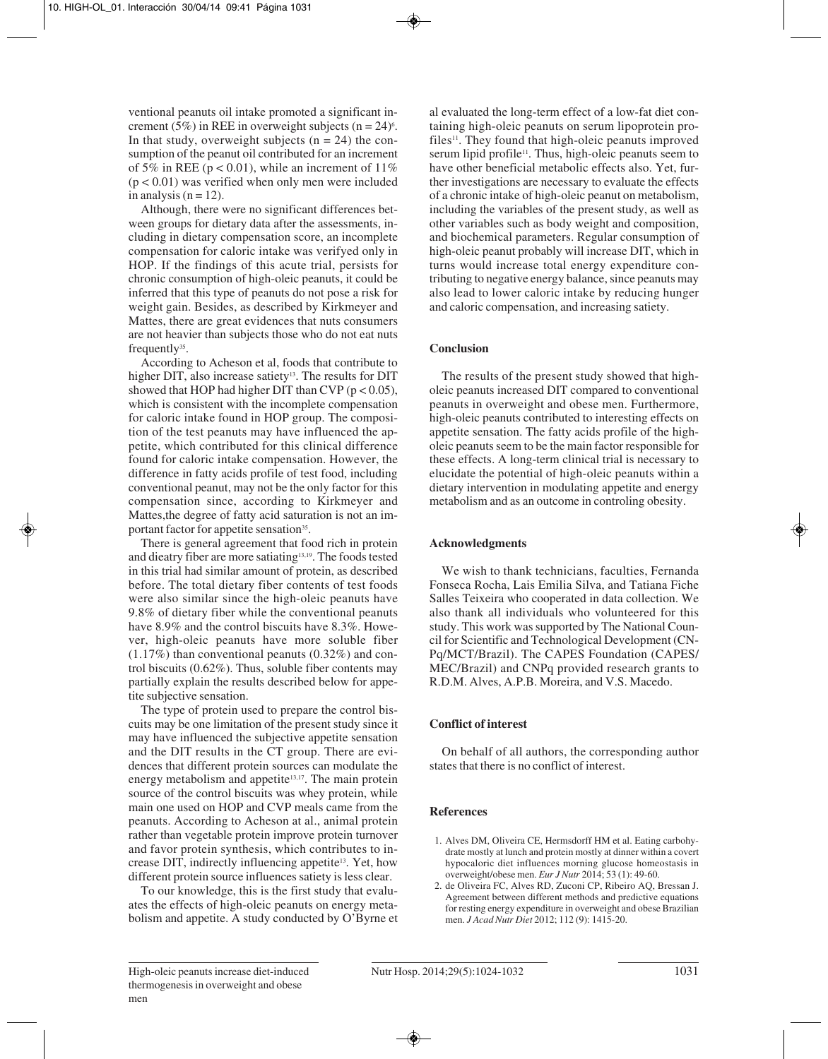ventional peanuts oil intake promoted a significant increment (5%) in REE in overweight subjects  $(n = 24)^6$ . In that study, overweight subjects  $(n = 24)$  the consumption of the peanut oil contributed for an increment of 5% in REE ( $p < 0.01$ ), while an increment of 11%  $(p < 0.01)$  was verified when only men were included in analysis  $(n = 12)$ .

Although, there were no significant differences bet ween groups for dietary data after the assessments, including in dietary compensation score, an incomplete compensation for caloric intake was verifyed only in HOP. If the findings of this acute trial, persists for chronic consumption of high-oleic peanuts, it could be inferred that this type of peanuts do not pose a risk for weight gain. Besides, as described by Kirkmeyer and Mattes, there are great evidences that nuts consumers are not heavier than subjects those who do not eat nuts frequently<sup>35</sup>.

According to Acheson et al, foods that contribute to higher DIT, also increase satiety<sup>13</sup>. The results for DIT showed that HOP had higher DIT than CVP ( $p < 0.05$ ), which is consistent with the incomplete compensation for caloric intake found in HOP group. The composition of the test peanuts may have influenced the appetite, which contributed for this clinical difference found for caloric intake compensation. However, the difference in fatty acids profile of test food, including conventional peanut, may not be the only factor for this compensation since, according to Kirkmeyer and Mattes,the degree of fatty acid saturation is not an important factor for appetite sensation<sup>35</sup>.

There is general agreement that food rich in protein and dieatry fiber are more satiating<sup>13,19</sup>. The foods tested in this trial had similar amount of protein, as described before. The total dietary fiber contents of test foods were also similar since the high-oleic peanuts have 9.8% of dietary fiber while the conventional peanuts have 8.9% and the control biscuits have 8.3%. However, high-oleic peanuts have more soluble fiber  $(1.17\%)$  than conventional peanuts  $(0.32\%)$  and control biscuits (0.62%). Thus, soluble fiber contents may partially explain the results described below for appe tite subjective sensation.

The type of protein used to prepare the control biscuits may be one limitation of the present study since it may have influenced the subjective appetite sensation and the DIT results in the CT group. There are evidences that different protein sources can modulate the energy metabolism and appetite<sup>13,17</sup>. The main protein source of the control biscuits was whey protein, while main one used on HOP and CVP meals came from the peanuts. According to Acheson at al., animal protein rather than vegetable protein improve protein turnover and favor protein synthesis, which contributes to increase DIT, indirectly influencing appetite<sup>13</sup>. Yet, how different protein source influences satiety is less clear.

To our knowledge, this is the first study that evaluates the effects of high-oleic peanuts on energy metabolism and appetite. A study conducted by O'Byrne et al evaluated the long-term effect of a low-fat diet containing high-oleic peanuts on serum lipoprotein profiles<sup>11</sup>. They found that high-oleic peanuts improved serum lipid profile<sup>11</sup>. Thus, high-oleic peanuts seem to have other beneficial metabolic effects also. Yet, further investigations are necessary to evaluate the effects of a chronic intake of high-oleic peanut on metabolism, including the variables of the present study, as well as other variables such as body weight and composition, and biochemical parameters. Regular consumption of high-oleic peanut probably will increase DIT, which in turns would increase total energy expenditure contributing to negative energy balance, since peanuts may also lead to lower caloric intake by reducing hunger and caloric compensation, and increasing satiety.

# **Conclusion**

The results of the present study showed that higholeic peanuts increased DIT compared to conventional peanuts in overweight and obese men. Furthermore, high-oleic peanuts contributed to interesting effects on appetite sensation. The fatty acids profile of the higholeic peanuts seem to be the main factor responsible for these effects. A long-term clinical trial is necessary to elucidate the potential of high-oleic peanuts within a dietary intervention in modulating appetite and energy metabolism and as an outcome in controling obesity.

# **Acknowledgments**

We wish to thank technicians, faculties, Fernanda Fonseca Rocha, Lais Emilia Silva, and Tatiana Fiche Salles Teixeira who cooperated in data collection. We also thank all individuals who volunteered for this study. This work was supported by The National Council for Scientific and Technological Development (CN-Pq/MCT/Brazil). The CAPES Foundation (CAPES/ MEC/Brazil) and CNPq provided research grants to R.D.M. Alves, A.P.B. Moreira, and V.S. Macedo.

# **Conflict of interest**

On behalf of all authors, the corresponding author states that there is no conflict of interest.

# **References**

- 1. Alves DM, Oliveira CE, Hermsdorff HM et al. Eating carbohydrate mostly at lunch and protein mostly at dinner within a covert hypocaloric diet influences morning glucose homeostasis in overweight/obese men. *Eur J Nutr* 2014; 53 (1): 49-60.
- 2. de Oliveira FC, Alves RD, Zuconi CP, Ribeiro AQ, Bressan J. Agreement between different methods and predictive equations for resting energy expenditure in overweight and obese Brazilian men. *J Acad Nutr Diet* 2012; 112 (9): 1415-20.